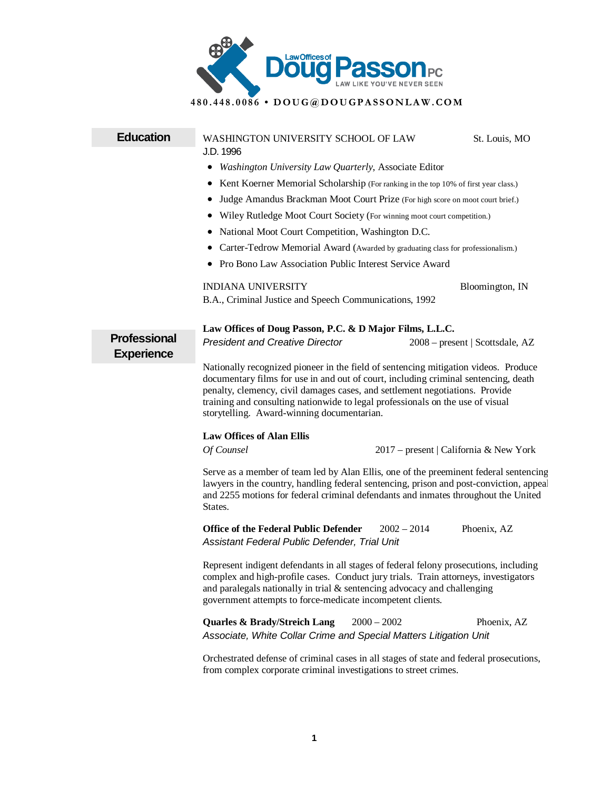

## **480.448.0086 • DOUG@DOUGPASSONLAW .COM**

## **Education** WASHINGTON UNIVERSITY SCHOOL OF LAW St. Louis, MO J.D. 1996 • *Washington University Law Quarterly*, Associate Editor • Kent Koerner Memorial Scholarship (For ranking in the top 10% of first year class.) • Judge Amandus Brackman Moot Court Prize (For high score on moot court brief.) • Wiley Rutledge Moot Court Society (For winning moot court competition.) • National Moot Court Competition, Washington D.C. • Carter-Tedrow Memorial Award (Awarded by graduating class for professionalism.) • Pro Bono Law Association Public Interest Service Award INDIANA UNIVERSITY Bloomington, IN B.A., Criminal Justice and Speech Communications, 1992 **Professional Experience Law Offices of Doug Passon, P.C. & D Major Films, L.L.C.** *President and Creative Director*2008 – present | Scottsdale, AZ Nationally recognized pioneer in the field of sentencing mitigation videos. Produce documentary films for use in and out of court, including criminal sentencing, death penalty, clemency, civil damages cases, and settlement negotiations. Provide training and consulting nationwide to legal professionals on the use of visual storytelling. Award-winning documentarian. **Law Offices of Alan Ellis**  *Of Counsel* 2017 – present | California & New York Serve as a member of team led by Alan Ellis, one of the preeminent federal sentencing lawyers in the country, handling federal sentencing, prison and post-conviction, appeal and 2255 motions for federal criminal defendants and inmates throughout the United States. **Office of the Federal Public Defender** 2002 – 2014 Phoenix, AZ *Assistant Federal Public Defender, Trial Unit* Represent indigent defendants in all stages of federal felony prosecutions, including complex and high-profile cases. Conduct jury trials. Train attorneys, investigators and paralegals nationally in trial & sentencing advocacy and challenging government attempts to force-medicate incompetent clients. **Quarles & Brady/Streich Lang**  $2000 - 2002$  Phoenix, AZ *Associate, White Collar Crime and Special Matters Litigation Unit* Orchestrated defense of criminal cases in all stages of state and federal prosecutions, from complex corporate criminal investigations to street crimes.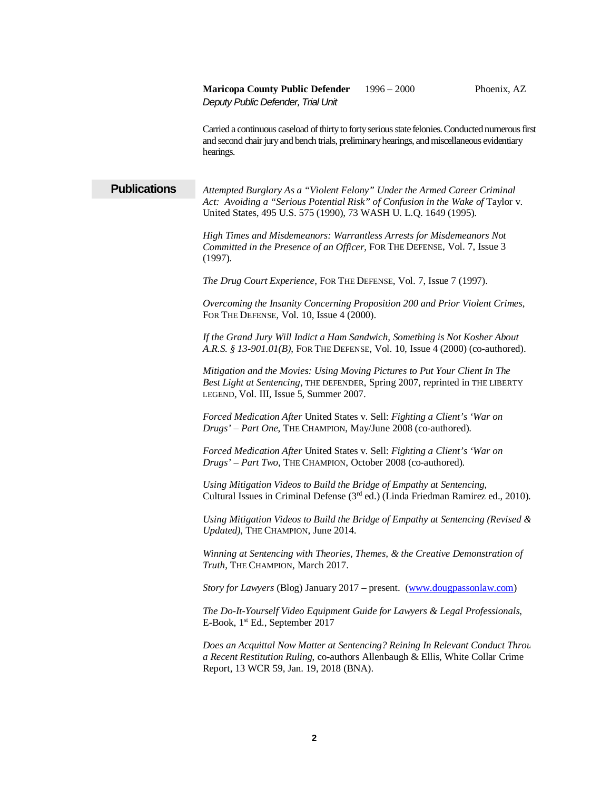Carried a continuous caseload ofthirty to forty serious state felonies. Conducted numerous first and second chair jury and bench trials, preliminary hearings, and miscellaneous evidentiary hearings.

**Publications** *Attempted Burglary As a "Violent Felony" Under the Armed Career Criminal*  Act: Avoiding a "Serious Potential Risk" of Confusion in the Wake of Taylor v. United States, 495 U.S. 575 (1990), 73 WASH U. L.Q. 1649 (1995).

> *High Times and Misdemeanors: Warrantless Arrests for Misdemeanors Not Committed in the Presence of an Officer*, FOR THE DEFENSE, Vol. 7, Issue 3 (1997).

*The Drug Court Experience*, FOR THE DEFENSE, Vol. 7, Issue 7 (1997).

*Overcoming the Insanity Concerning Proposition 200 and Prior Violent Crimes*, FOR THE DEFENSE, Vol. 10, Issue 4 (2000).

*If the Grand Jury Will Indict a Ham Sandwich, Something is Not Kosher About A.R.S. § 13-901.01(B)*, FOR THE DEFENSE, Vol. 10, Issue 4 (2000) (co-authored).

*Mitigation and the Movies: Using Moving Pictures to Put Your Client In The Best Light at Sentencing*, THE DEFENDER, Spring 2007, reprinted in THE LIBERTY LEGEND, Vol. III, Issue 5, Summer 2007.

*Forced Medication After* United States v. Sell: *Fighting a Client's 'War on Drugs' – Part One*, THE CHAMPION, May/June 2008 (co-authored).

*Forced Medication After* United States v. Sell: *Fighting a Client's 'War on Drugs' – Part Two*, THE CHAMPION, October 2008 (co-authored).

*Using Mitigation Videos to Build the Bridge of Empathy at Sentencing,* Cultural Issues in Criminal Defense (3rd ed.) (Linda Friedman Ramirez ed., 2010).

*Using Mitigation Videos to Build the Bridge of Empathy at Sentencing (Revised & Updated)*, THE CHAMPION, June 2014.

*Winning at Sentencing with Theories, Themes, & the Creative Demonstration of Truth*, THE CHAMPION, March 2017.

*Story for Lawyers* (Blog) January 2017 – present. [\(www.dougpassonlaw.com\)](http://www.dougpassonlaw.com/)

*The Do-It-Yourself Video Equipment Guide for Lawyers & Legal Professionals*, E-Book, 1st Ed., September 2017

*Does an Acquittal Now Matter at Sentencing? Reining In Relevant Conduct Throu a Recent Restitution Ruling*, co-authors Allenbaugh & Ellis, White Collar Crime Report, 13 WCR 59, Jan. 19, 2018 (BNA).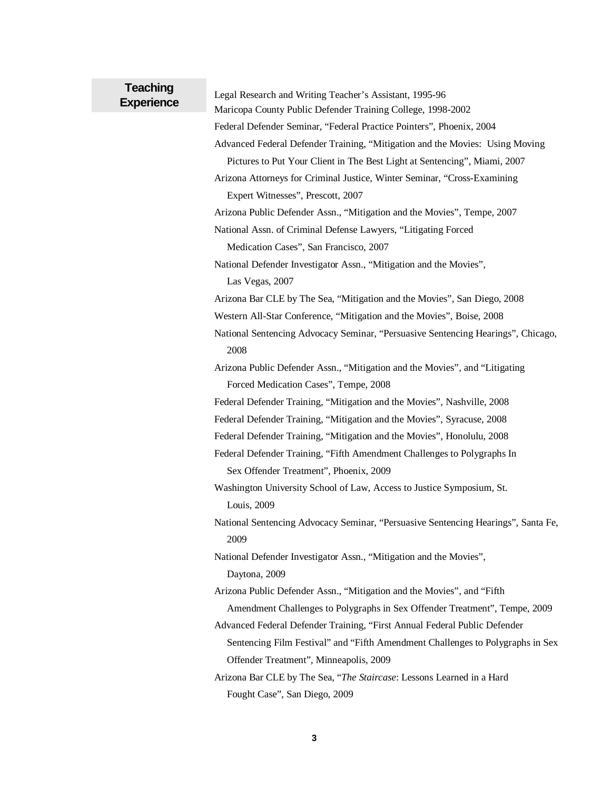## **Teaching**

**Experience** Legal Research and Writing Teacher's Assistant, 1995-96

Maricopa County Public Defender Training College, 1998-2002

Federal Defender Seminar, "Federal Practice Pointers", Phoenix, 2004

Advanced Federal Defender Training, "Mitigation and the Movies: Using Moving

 Pictures to Put Your Client in The Best Light at Sentencing", Miami, 2007 Arizona Attorneys for Criminal Justice, Winter Seminar, "Cross-Examining

Expert Witnesses", Prescott, 2007

Arizona Public Defender Assn., "Mitigation and the Movies", Tempe, 2007

National Assn. of Criminal Defense Lawyers, "Litigating Forced

Medication Cases", San Francisco, 2007

National Defender Investigator Assn., "Mitigation and the Movies", Las Vegas, 2007

Arizona Bar CLE by The Sea, "Mitigation and the Movies", San Diego, 2008

Western All-Star Conference, "Mitigation and the Movies", Boise, 2008

National Sentencing Advocacy Seminar, "Persuasive Sentencing Hearings", Chicago, 2008

Arizona Public Defender Assn., "Mitigation and the Movies", and "Litigating Forced Medication Cases", Tempe, 2008

Federal Defender Training, "Mitigation and the Movies", Nashville, 2008

Federal Defender Training, "Mitigation and the Movies", Syracuse, 2008

Federal Defender Training, "Mitigation and the Movies", Honolulu, 2008

Federal Defender Training, "Fifth Amendment Challenges to Polygraphs In Sex Offender Treatment", Phoenix, 2009

Washington University School of Law, Access to Justice Symposium, St. Louis, 2009

National Sentencing Advocacy Seminar, "Persuasive Sentencing Hearings", Santa Fe, 2009

National Defender Investigator Assn., "Mitigation and the Movies", Daytona, 2009

Arizona Public Defender Assn., "Mitigation and the Movies", and "Fifth Amendment Challenges to Polygraphs in Sex Offender Treatment", Tempe, 2009

- Advanced Federal Defender Training, "First Annual Federal Public Defender Sentencing Film Festival" and "Fifth Amendment Challenges to Polygraphs in Sex Offender Treatment", Minneapolis, 2009
- Arizona Bar CLE by The Sea, "*The Staircase*: Lessons Learned in a Hard Fought Case", San Diego, 2009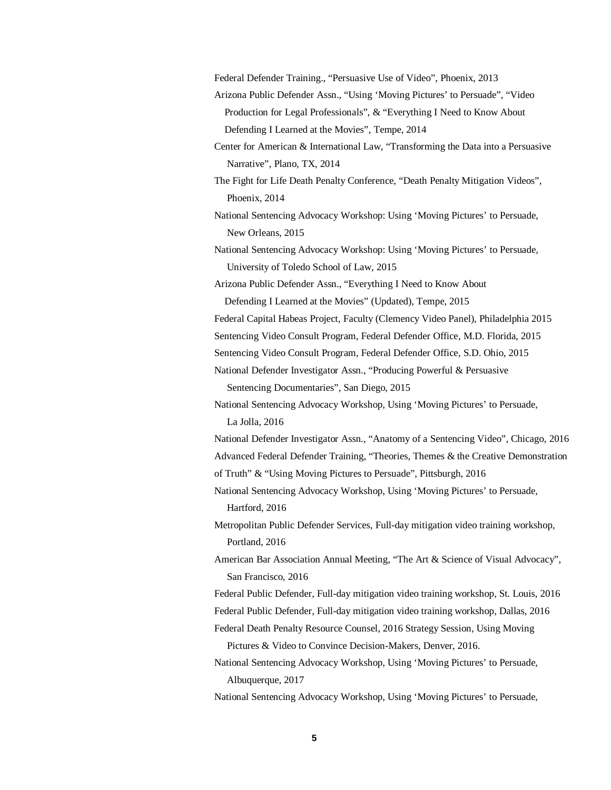Federal Defender Training., "Persuasive Use of Video", Phoenix, 2013

- Arizona Public Defender Assn., "Using 'Moving Pictures' to Persuade", "Video Production for Legal Professionals", & "Everything I Need to Know About Defending I Learned at the Movies", Tempe, 2014
- Center for American & International Law, "Transforming the Data into a Persuasive Narrative", Plano, TX, 2014
- The Fight for Life Death Penalty Conference, "Death Penalty Mitigation Videos", Phoenix, 2014

National Sentencing Advocacy Workshop: Using 'Moving Pictures' to Persuade, New Orleans, 2015

National Sentencing Advocacy Workshop: Using 'Moving Pictures' to Persuade, University of Toledo School of Law, 2015

Arizona Public Defender Assn., "Everything I Need to Know About Defending I Learned at the Movies" (Updated), Tempe, 2015

Federal Capital Habeas Project, Faculty (Clemency Video Panel), Philadelphia 2015

Sentencing Video Consult Program, Federal Defender Office, M.D. Florida, 2015

Sentencing Video Consult Program, Federal Defender Office, S.D. Ohio, 2015

National Defender Investigator Assn., "Producing Powerful & Persuasive

Sentencing Documentaries", San Diego, 2015

National Sentencing Advocacy Workshop, Using 'Moving Pictures' to Persuade, La Jolla, 2016

National Defender Investigator Assn., "Anatomy of a Sentencing Video", Chicago, 2016 Advanced Federal Defender Training, "Theories, Themes & the Creative Demonstration of Truth" & "Using Moving Pictures to Persuade", Pittsburgh, 2016

National Sentencing Advocacy Workshop, Using 'Moving Pictures' to Persuade, Hartford, 2016

Metropolitan Public Defender Services, Full-day mitigation video training workshop, Portland, 2016

American Bar Association Annual Meeting, "The Art & Science of Visual Advocacy", San Francisco, 2016

Federal Public Defender, Full-day mitigation video training workshop, St. Louis, 2016 Federal Public Defender, Full-day mitigation video training workshop, Dallas, 2016

Federal Death Penalty Resource Counsel, 2016 Strategy Session, Using Moving

Pictures & Video to Convince Decision-Makers, Denver, 2016.

National Sentencing Advocacy Workshop, Using 'Moving Pictures' to Persuade, Albuquerque, 2017

National Sentencing Advocacy Workshop, Using 'Moving Pictures' to Persuade,